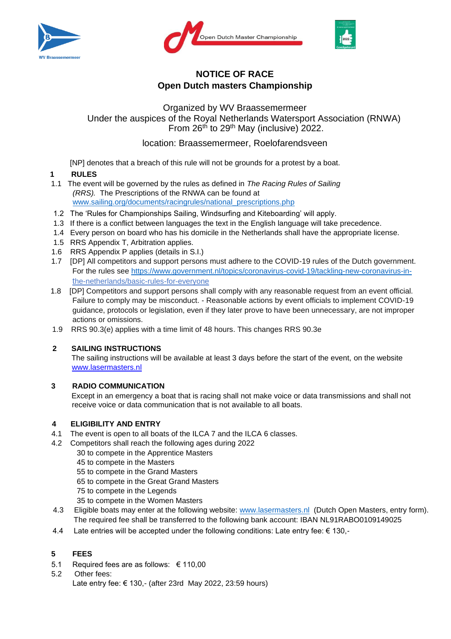





# **NOTICE OF RACE Open Dutch masters Championship**

Organized by WV Braassemermeer Under the auspices of the Royal Netherlands Watersport Association (RNWA) From 26th to 29th May (inclusive) 2022.

location: Braassemermeer, Roelofarendsveen

[NP] denotes that a breach of this rule will not be grounds for a protest by a boat.

## **1 RULES**

- 1.1 The event will be governed by the rules as defined in *The Racing Rules of Sailing (RRS).* The Prescriptions of the RNWA can be found at [www.sailing.org/documents/racingrules/national\\_prescriptions.php](http://www.sailing.org/documents/racingrules/national_prescriptions.php)
- 1.2 The 'Rules for Championships Sailing, Windsurfing and Kiteboarding' will apply.
- 1.3 If there is a conflict between languages the text in the English language will take precedence.
- 1.4 Every person on board who has his domicile in the Netherlands shall have the appropriate license.
- 1.5 RRS Appendix T, Arbitration applies.
- 1.6 RRS Appendix P applies (details in S.I.)
- 1.7 [DP] All competitors and support persons must adhere to the COVID-19 rules of the Dutch government. For the rules see [https://www.government.nl/topics/coronavirus-covid-19/tackling-new-coronavirus-in](https://www.government.nl/topics/coronavirus-covid-19/tackling-newcoronavirus-in-)the-netherlands/basic-rules-for-everyone
- 1.8 [DP] Competitors and support persons shall comply with any reasonable request from an event official. Failure to comply may be misconduct. - Reasonable actions by event officials to implement COVID-19 guidance, protocols or legislation, even if they later prove to have been unnecessary, are not improper actions or omissions.
- 1.9 RRS 90.3(e) applies with a time limit of 48 hours. This changes RRS 90.3e

## **2 SAILING INSTRUCTIONS**

The sailing instructions will be available at least 3 days before the start of the event, on the websit[e](http://www.lasermasters.nl/) [www.lasermasters.nl](http://www.lasermasters.nl/) 

## **3 RADIO COMMUNICATION**

Except in an emergency a boat that is racing shall not make voice or data transmissions and shall not receive voice or data communication that is not available to all boats.

### **4 ELIGIBILITY AND ENTRY**

- 4.1 The event is open to all boats of the ILCA 7 and the ILCA 6 classes.
- 4.2 Competitors shall reach the following ages during 2022
	- 30 to compete in the Apprentice Masters
	- 45 to compete in the Masters
	- 55 to compete in the Grand Masters
	- 65 to compete in the Great Grand Masters
	- 75 to compete in the Legends
	- 35 to compete in the Women Masters
- 4.3 Eligible boats may enter at the following website: [www.lasermasters.nl](http://www.lasermasters.nl/) [\(Dutch](http://www.lasermasters.nl/) [O](http://www.lasermasters.nl/)pen Masters, entry form). The required fee shall be transferred to the following bank account: IBAN NL91RABO0109149025
- 4.4 Late entries will be accepted under the following conditions: Late entry fee: € 130,-

## **5 FEES**

- 5.1 Required fees are as follows: € 110,00
- 5.2 Other fees: Late entry fee: € 130,- (after 23rd May 2022, 23:59 hours)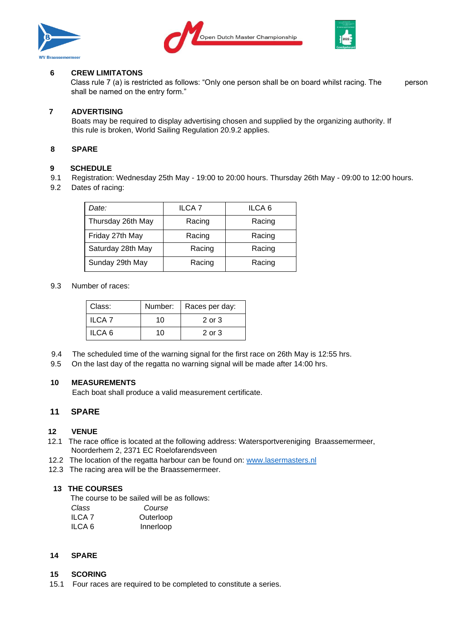





### **6 CREW LIMITATONS**

Class rule 7 (a) is restricted as follows: "Only one person shall be on board whilst racing. The person shall be named on the entry form."

## **7 ADVERTISING**

Boats may be required to display advertising chosen and supplied by the organizing authority. If this rule is broken, World Sailing Regulation 20.9.2 applies.

#### **8 SPARE**

#### **9 SCHEDULE**

- 9.1 Registration: Wednesday 25th May 19:00 to 20:00 hours. Thursday 26th May 09:00 to 12:00 hours.
- 9.2 Dates of racing:

| Date:             | ILCA <sub>7</sub> | ILCA <sub>6</sub> |
|-------------------|-------------------|-------------------|
| Thursday 26th May | Racing            | Racing            |
| Friday 27th May   | Racing            | Racing            |
| Saturday 28th May | Racing            | Racing            |
| Sunday 29th May   | Racing            | Racing            |

#### 9.3 Number of races:

| Class:            | Number: | Races per day: |
|-------------------|---------|----------------|
| ILCA <sub>7</sub> | 10      | 2 or 3         |
| ILCA 6            | 10      | $2$ or $3$     |

- 9.4 The scheduled time of the warning signal for the first race on 26th May is 12:55 hrs.
- 9.5 On the last day of the regatta no warning signal will be made after 14:00 hrs.

## **10 MEASUREMENTS**

Each boat shall produce a valid measurement certificate.

## **11 SPARE**

### **12 VENUE**

- 12.1 The race office is located at the following address: Watersportvereniging Braassemermeer, Noorderhem 2, 2371 EC Roelofarendsveen
- 12.2 The location of the regatta harbour can be found on: [www.lasermasters.nl](http://www.lasermasters.nl/)
- 12.3 The racing area will be the Braassemermeer.

### **13 THE COURSES**

The course to be sailed will be as follows:

| Class         | Course    |
|---------------|-----------|
| <b>ILCA 7</b> | Outerloop |
| ILCA 6        | Innerloop |

### **14 SPARE**

### **15 SCORING**

15.1 Four races are required to be completed to constitute a series.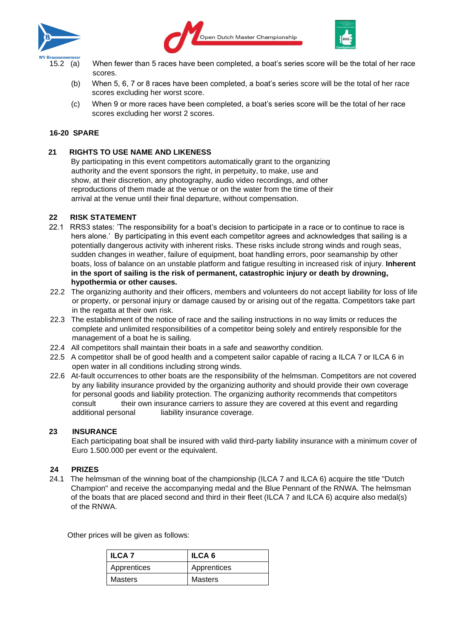





- 15.2 (a) When fewer than 5 races have been completed, a boat's series score will be the total of her race scores.
	- (b) When 5, 6, 7 or 8 races have been completed, a boat's series score will be the total of her race scores excluding her worst score.
	- (c) When 9 or more races have been completed, a boat's series score will be the total of her race scores excluding her worst 2 scores.

#### **16-20 SPARE**

#### **21 RIGHTS TO USE NAME AND LIKENESS**

By participating in this event competitors automatically grant to the organizing authority and the event sponsors the right, in perpetuity, to make, use and show, at their discretion, any photography, audio video recordings, and other reproductions of them made at the venue or on the water from the time of their arrival at the venue until their final departure, without compensation.

#### **22 RISK STATEMENT**

- 22.1 RRS3 states: 'The responsibility for a boat's decision to participate in a race or to continue to race is hers alone.' By participating in this event each competitor agrees and acknowledges that sailing is a potentially dangerous activity with inherent risks. These risks include strong winds and rough seas, sudden changes in weather, failure of equipment, boat handling errors, poor seamanship by other boats, loss of balance on an unstable platform and fatigue resulting in increased risk of injury. **Inherent in the sport of sailing is the risk of permanent, catastrophic injury or death by drowning, hypothermia or other causes.**
- 22.2 The organizing authority and their officers, members and volunteers do not accept liability for loss of life or property, or personal injury or damage caused by or arising out of the regatta. Competitors take part in the regatta at their own risk.
- 22.3 The establishment of the notice of race and the sailing instructions in no way limits or reduces the complete and unlimited responsibilities of a competitor being solely and entirely responsible for the management of a boat he is sailing.
- 22.4 All competitors shall maintain their boats in a safe and seaworthy condition.
- 22.5 A competitor shall be of good health and a competent sailor capable of racing a ILCA 7 or ILCA 6 in open water in all conditions including strong winds.
- 22.6 At-fault occurrences to other boats are the responsibility of the helmsman. Competitors are not covered by any liability insurance provided by the organizing authority and should provide their own coverage for personal goods and liability protection. The organizing authority recommends that competitors consult their own insurance carriers to assure they are covered at this event and regarding additional personal liability insurance coverage.

#### **23 INSURANCE**

Each participating boat shall be insured with valid third-party liability insurance with a minimum cover of Euro 1.500.000 per event or the equivalent.

#### **24 PRIZES**

24.1 The helmsman of the winning boat of the championship (ILCA 7 and ILCA 6) acquire the title "Dutch Champion" and receive the accompanying medal and the Blue Pennant of the RNWA. The helmsman of the boats that are placed second and third in their fleet (ILCA 7 and ILCA 6) acquire also medal(s) of the RNWA.

Other prices will be given as follows:

| <b>ILCA 7</b> | <b>ILCA 6</b>  |
|---------------|----------------|
| Apprentices   | Apprentices    |
| Masters       | <b>Masters</b> |